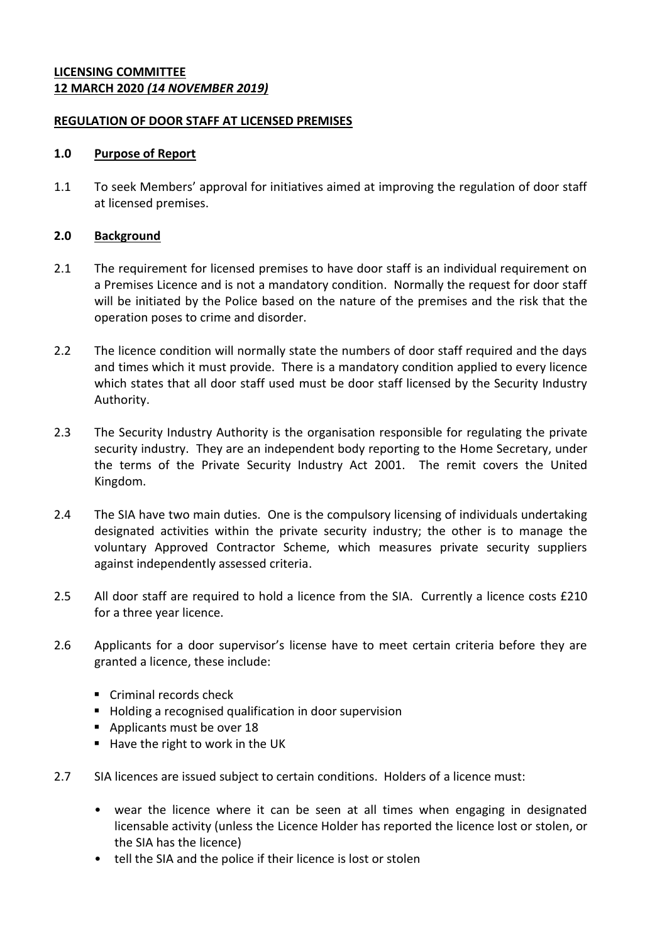## **LICENSING COMMITTEE 12 MARCH 2020** *(14 NOVEMBER 2019)*

## **REGULATION OF DOOR STAFF AT LICENSED PREMISES**

### **1.0 Purpose of Report**

1.1 To seek Members' approval for initiatives aimed at improving the regulation of door staff at licensed premises.

# **2.0 Background**

- 2.1 The requirement for licensed premises to have door staff is an individual requirement on a Premises Licence and is not a mandatory condition. Normally the request for door staff will be initiated by the Police based on the nature of the premises and the risk that the operation poses to crime and disorder.
- 2.2 The licence condition will normally state the numbers of door staff required and the days and times which it must provide. There is a mandatory condition applied to every licence which states that all door staff used must be door staff licensed by the Security Industry Authority.
- 2.3 The Security Industry Authority is the organisation responsible for regulating the private security industry. They are an independent body reporting to the Home Secretary, under the terms of the Private Security Industry Act 2001. The remit covers the United Kingdom.
- 2.4 The SIA have two main duties. One is the compulsory licensing of individuals undertaking designated activities within the private security industry; the other is to manage the voluntary Approved Contractor Scheme, which measures private security suppliers against independently assessed criteria.
- 2.5 All door staff are required to hold a licence from the SIA. Currently a licence costs £210 for a three year licence.
- 2.6 Applicants for a door supervisor's license have to meet certain criteria before they are granted a licence, these include:
	- Criminal records check
	- **Holding a recognised qualification in door supervision**
	- Applicants must be over 18
	- Have the right to work in the UK
- 2.7 SIA licences are issued subject to certain conditions. Holders of a licence must:
	- wear the licence where it can be seen at all times when engaging in designated licensable activity (unless the Licence Holder has reported the licence lost or stolen, or the SIA has the licence)
	- tell the SIA and the police if their licence is lost or stolen